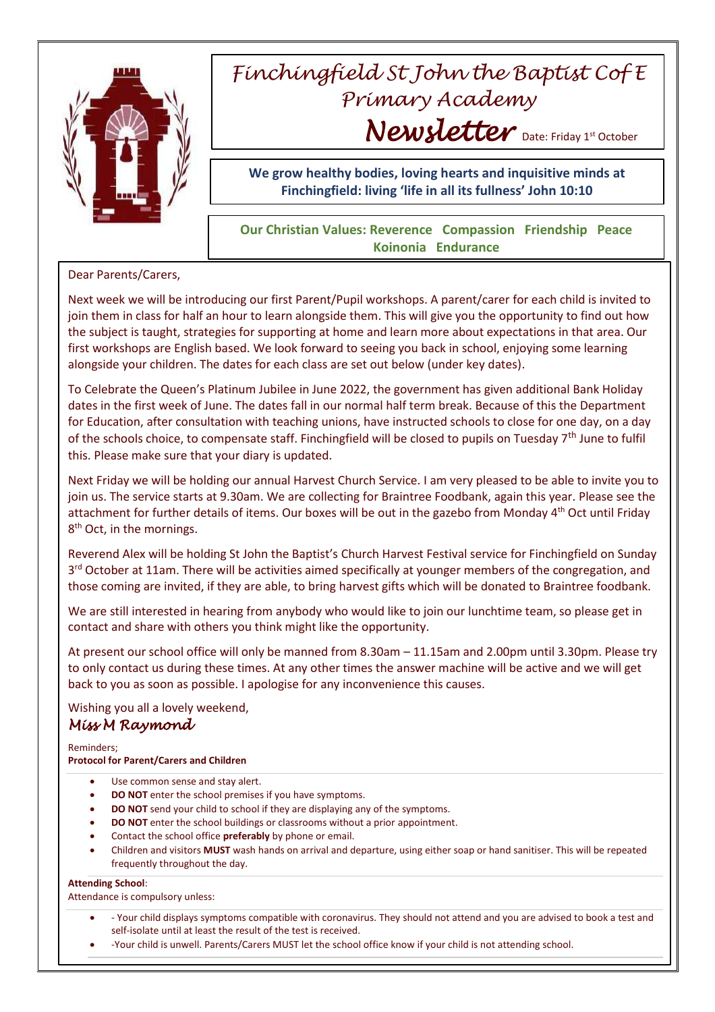

# *Finchingfield St John the Baptist Cof E Primary Academy Newsletter* Date: Friday 1st October

**We grow healthy bodies, loving hearts and inquisitive minds at Finchingfield: living 'life in all its fullness' John 10:10**

## **Our Christian Values: Reverence Compassion Friendship Peace Koinonia Endurance**

### Dear Parents/Carers,

Next week we will be introducing our first Parent/Pupil workshops. A parent/carer for each child is invited to join them in class for half an hour to learn alongside them. This will give you the opportunity to find out how the subject is taught, strategies for supporting at home and learn more about expectations in that area. Our first workshops are English based. We look forward to seeing you back in school, enjoying some learning alongside your children. The dates for each class are set out below (under key dates).

To Celebrate the Queen's Platinum Jubilee in June 2022, the government has given additional Bank Holiday dates in the first week of June. The dates fall in our normal half term break. Because of this the Department for Education, after consultation with teaching unions, have instructed schools to close for one day, on a day of the schools choice, to compensate staff. Finchingfield will be closed to pupils on Tuesday  $7<sup>th</sup>$  June to fulfil this. Please make sure that your diary is updated.

Next Friday we will be holding our annual Harvest Church Service. I am very pleased to be able to invite you to join us. The service starts at 9.30am. We are collecting for Braintree Foodbank, again this year. Please see the attachment for further details of items. Our boxes will be out in the gazebo from Monday 4<sup>th</sup> Oct until Friday 8<sup>th</sup> Oct, in the mornings.

Reverend Alex will be holding St John the Baptist's Church Harvest Festival service for Finchingfield on Sunday 3<sup>rd</sup> October at 11am. There will be activities aimed specifically at younger members of the congregation, and those coming are invited, if they are able, to bring harvest gifts which will be donated to Braintree foodbank.

We are still interested in hearing from anybody who would like to join our lunchtime team, so please get in contact and share with others you think might like the opportunity.

At present our school office will only be manned from 8.30am – 11.15am and 2.00pm until 3.30pm. Please try to only contact us during these times. At any other times the answer machine will be active and we will get back to you as soon as possible. I apologise for any inconvenience this causes.

## Wishing you all a lovely weekend, *Miss M Raymond*

Reminders; **Protocol for Parent/Carers and Children**

- Use common sense and stay alert.
- **DO NOT** enter the school premises if you have symptoms.
- **DO NOT** send your child to school if they are displaying any of the symptoms.
- **DO NOT** enter the school buildings or classrooms without a prior appointment.
- Contact the school office **preferably** by phone or email.
- Children and visitors **MUST** wash hands on arrival and departure, using either soap or hand sanitiser. This will be repeated frequently throughout the day.

#### **Attending School**:

Attendance is compulsory unless:

- Your child displays symptoms compatible with coronavirus. They should not attend and you are advised to book a test and self-isolate until at least the result of the test is received.
- -Your child is unwell. Parents/Carers MUST let the school office know if your child is not attending school.